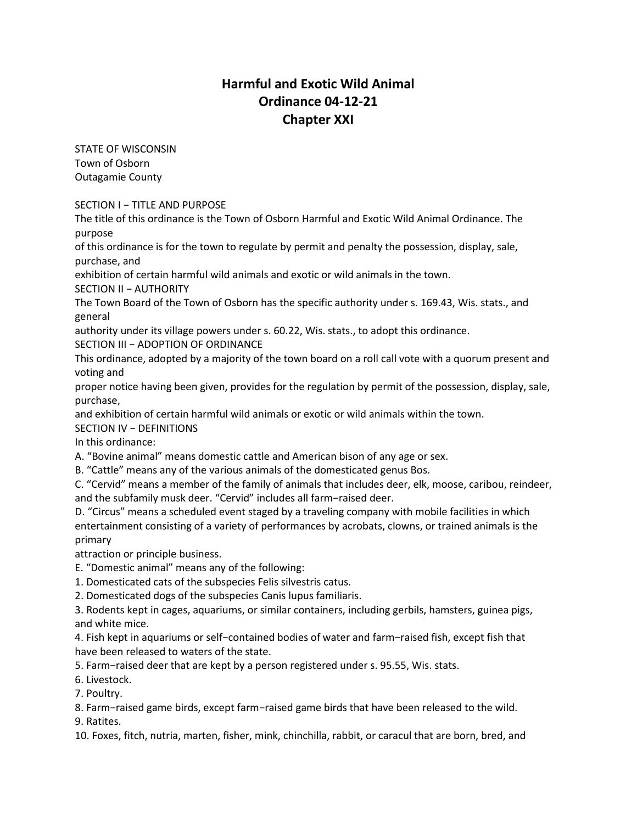## **Harmful and Exotic Wild Animal Ordinance 04-12-21 Chapter XXI**

STATE OF WISCONSIN Town of Osborn Outagamie County

SECTION I − TITLE AND PURPOSE

The title of this ordinance is the Town of Osborn Harmful and Exotic Wild Animal Ordinance. The purpose

of this ordinance is for the town to regulate by permit and penalty the possession, display, sale, purchase, and

exhibition of certain harmful wild animals and exotic or wild animals in the town.

SECTION II − AUTHORITY

The Town Board of the Town of Osborn has the specific authority under s. 169.43, Wis. stats., and general

authority under its village powers under s. 60.22, Wis. stats., to adopt this ordinance.

SECTION III − ADOPTION OF ORDINANCE

This ordinance, adopted by a majority of the town board on a roll call vote with a quorum present and voting and

proper notice having been given, provides for the regulation by permit of the possession, display, sale, purchase,

and exhibition of certain harmful wild animals or exotic or wild animals within the town.

SECTION IV − DEFINITIONS

In this ordinance:

A. "Bovine animal" means domestic cattle and American bison of any age or sex.

B. "Cattle" means any of the various animals of the domesticated genus Bos.

C. "Cervid" means a member of the family of animals that includes deer, elk, moose, caribou, reindeer, and the subfamily musk deer. "Cervid" includes all farm−raised deer.

D. "Circus" means a scheduled event staged by a traveling company with mobile facilities in which entertainment consisting of a variety of performances by acrobats, clowns, or trained animals is the primary

attraction or principle business.

E. "Domestic animal" means any of the following:

1. Domesticated cats of the subspecies Felis silvestris catus.

2. Domesticated dogs of the subspecies Canis lupus familiaris.

3. Rodents kept in cages, aquariums, or similar containers, including gerbils, hamsters, guinea pigs, and white mice.

4. Fish kept in aquariums or self−contained bodies of water and farm−raised fish, except fish that have been released to waters of the state.

5. Farm−raised deer that are kept by a person registered under s. 95.55, Wis. stats.

6. Livestock.

7. Poultry.

8. Farm−raised game birds, except farm−raised game birds that have been released to the wild. 9. Ratites.

10. Foxes, fitch, nutria, marten, fisher, mink, chinchilla, rabbit, or caracul that are born, bred, and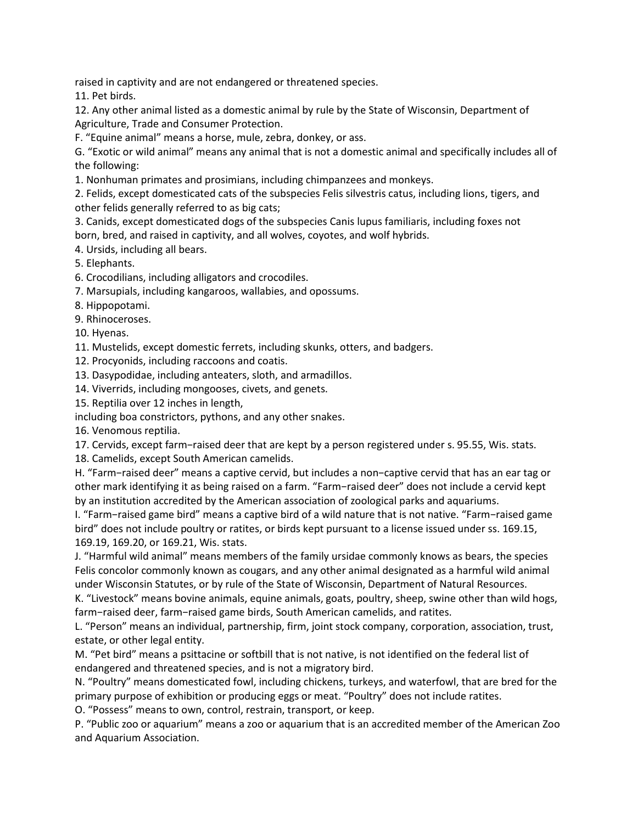raised in captivity and are not endangered or threatened species.

11. Pet birds.

12. Any other animal listed as a domestic animal by rule by the State of Wisconsin, Department of Agriculture, Trade and Consumer Protection.

F. "Equine animal" means a horse, mule, zebra, donkey, or ass.

G. "Exotic or wild animal" means any animal that is not a domestic animal and specifically includes all of the following:

1. Nonhuman primates and prosimians, including chimpanzees and monkeys.

2. Felids, except domesticated cats of the subspecies Felis silvestris catus, including lions, tigers, and other felids generally referred to as big cats;

3. Canids, except domesticated dogs of the subspecies Canis lupus familiaris, including foxes not born, bred, and raised in captivity, and all wolves, coyotes, and wolf hybrids.

4. Ursids, including all bears.

5. Elephants.

6. Crocodilians, including alligators and crocodiles.

7. Marsupials, including kangaroos, wallabies, and opossums.

8. Hippopotami.

9. Rhinoceroses.

10. Hyenas.

11. Mustelids, except domestic ferrets, including skunks, otters, and badgers.

12. Procyonids, including raccoons and coatis.

13. Dasypodidae, including anteaters, sloth, and armadillos.

14. Viverrids, including mongooses, civets, and genets.

15. Reptilia over 12 inches in length,

including boa constrictors, pythons, and any other snakes.

16. Venomous reptilia.

17. Cervids, except farm−raised deer that are kept by a person registered under s. 95.55, Wis. stats.

18. Camelids, except South American camelids.

H. "Farm−raised deer" means a captive cervid, but includes a non−captive cervid that has an ear tag or other mark identifying it as being raised on a farm. "Farm−raised deer" does not include a cervid kept by an institution accredited by the American association of zoological parks and aquariums.

I. "Farm−raised game bird" means a captive bird of a wild nature that is not native. "Farm−raised game bird" does not include poultry or ratites, or birds kept pursuant to a license issued under ss. 169.15, 169.19, 169.20, or 169.21, Wis. stats.

J. "Harmful wild animal" means members of the family ursidae commonly knows as bears, the species Felis concolor commonly known as cougars, and any other animal designated as a harmful wild animal under Wisconsin Statutes, or by rule of the State of Wisconsin, Department of Natural Resources.

K. "Livestock" means bovine animals, equine animals, goats, poultry, sheep, swine other than wild hogs, farm−raised deer, farm−raised game birds, South American camelids, and ratites.

L. "Person" means an individual, partnership, firm, joint stock company, corporation, association, trust, estate, or other legal entity.

M. "Pet bird" means a psittacine or softbill that is not native, is not identified on the federal list of endangered and threatened species, and is not a migratory bird.

N. "Poultry" means domesticated fowl, including chickens, turkeys, and waterfowl, that are bred for the primary purpose of exhibition or producing eggs or meat. "Poultry" does not include ratites.

O. "Possess" means to own, control, restrain, transport, or keep.

P. "Public zoo or aquarium" means a zoo or aquarium that is an accredited member of the American Zoo and Aquarium Association.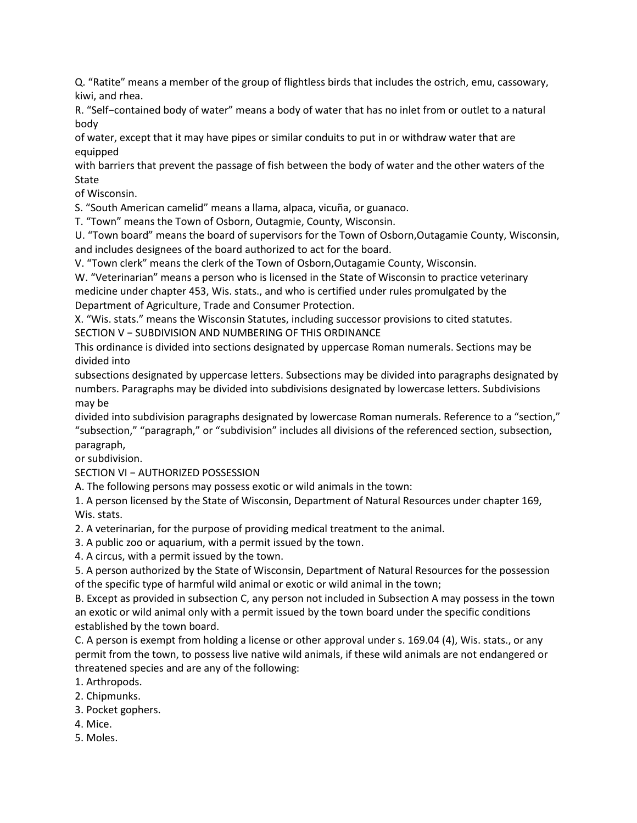Q. "Ratite" means a member of the group of flightless birds that includes the ostrich, emu, cassowary, kiwi, and rhea.

R. "Self−contained body of water" means a body of water that has no inlet from or outlet to a natural body

of water, except that it may have pipes or similar conduits to put in or withdraw water that are equipped

with barriers that prevent the passage of fish between the body of water and the other waters of the **State** 

of Wisconsin.

S. "South American camelid" means a llama, alpaca, vicuña, or guanaco.

T. "Town" means the Town of Osborn, Outagmie, County, Wisconsin.

U. "Town board" means the board of supervisors for the Town of Osborn,Outagamie County, Wisconsin, and includes designees of the board authorized to act for the board.

V. "Town clerk" means the clerk of the Town of Osborn,Outagamie County, Wisconsin.

W. "Veterinarian" means a person who is licensed in the State of Wisconsin to practice veterinary medicine under chapter 453, Wis. stats., and who is certified under rules promulgated by the Department of Agriculture, Trade and Consumer Protection.

X. "Wis. stats." means the Wisconsin Statutes, including successor provisions to cited statutes. SECTION V − SUBDIVISION AND NUMBERING OF THIS ORDINANCE

This ordinance is divided into sections designated by uppercase Roman numerals. Sections may be divided into

subsections designated by uppercase letters. Subsections may be divided into paragraphs designated by numbers. Paragraphs may be divided into subdivisions designated by lowercase letters. Subdivisions may be

divided into subdivision paragraphs designated by lowercase Roman numerals. Reference to a "section," "subsection," "paragraph," or "subdivision" includes all divisions of the referenced section, subsection, paragraph,

or subdivision.

SECTION VI − AUTHORIZED POSSESSION

A. The following persons may possess exotic or wild animals in the town:

1. A person licensed by the State of Wisconsin, Department of Natural Resources under chapter 169, Wis. stats.

2. A veterinarian, for the purpose of providing medical treatment to the animal.

3. A public zoo or aquarium, with a permit issued by the town.

4. A circus, with a permit issued by the town.

5. A person authorized by the State of Wisconsin, Department of Natural Resources for the possession of the specific type of harmful wild animal or exotic or wild animal in the town;

B. Except as provided in subsection C, any person not included in Subsection A may possess in the town an exotic or wild animal only with a permit issued by the town board under the specific conditions established by the town board.

C. A person is exempt from holding a license or other approval under s. 169.04 (4), Wis. stats., or any permit from the town, to possess live native wild animals, if these wild animals are not endangered or threatened species and are any of the following:

1. Arthropods.

- 2. Chipmunks.
- 3. Pocket gophers.
- 4. Mice.
- 5. Moles.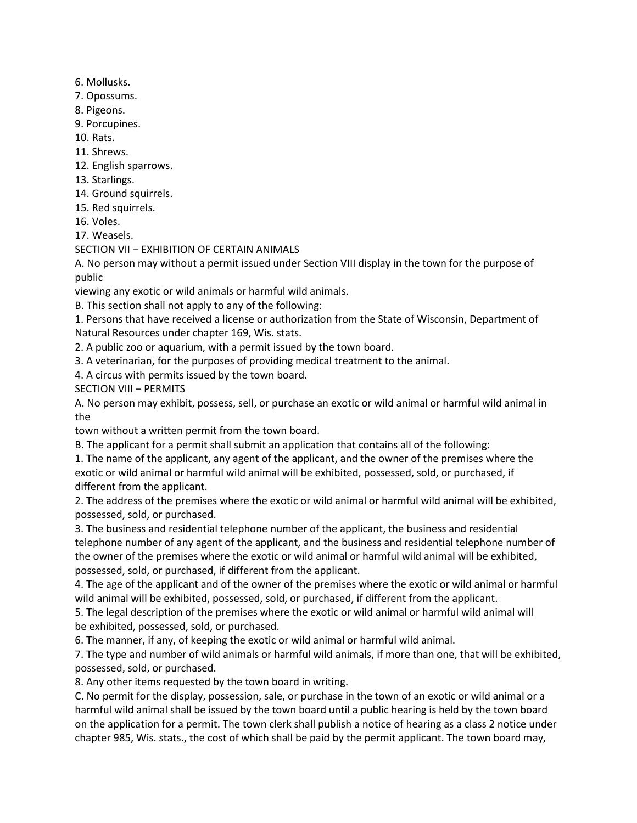- 6. Mollusks.
- 7. Opossums.
- 8. Pigeons.
- 9. Porcupines.
- 10. Rats.
- 11. Shrews.
- 12. English sparrows.
- 13. Starlings.
- 14. Ground squirrels.
- 15. Red squirrels.
- 16. Voles.
- 17. Weasels.

## SECTION VII − EXHIBITION OF CERTAIN ANIMALS

A. No person may without a permit issued under Section VIII display in the town for the purpose of public

viewing any exotic or wild animals or harmful wild animals.

B. This section shall not apply to any of the following:

1. Persons that have received a license or authorization from the State of Wisconsin, Department of Natural Resources under chapter 169, Wis. stats.

2. A public zoo or aquarium, with a permit issued by the town board.

- 3. A veterinarian, for the purposes of providing medical treatment to the animal.
- 4. A circus with permits issued by the town board.

SECTION VIII - PERMITS

A. No person may exhibit, possess, sell, or purchase an exotic or wild animal or harmful wild animal in the

town without a written permit from the town board.

B. The applicant for a permit shall submit an application that contains all of the following:

1. The name of the applicant, any agent of the applicant, and the owner of the premises where the exotic or wild animal or harmful wild animal will be exhibited, possessed, sold, or purchased, if different from the applicant.

2. The address of the premises where the exotic or wild animal or harmful wild animal will be exhibited, possessed, sold, or purchased.

3. The business and residential telephone number of the applicant, the business and residential telephone number of any agent of the applicant, and the business and residential telephone number of the owner of the premises where the exotic or wild animal or harmful wild animal will be exhibited, possessed, sold, or purchased, if different from the applicant.

4. The age of the applicant and of the owner of the premises where the exotic or wild animal or harmful wild animal will be exhibited, possessed, sold, or purchased, if different from the applicant.

5. The legal description of the premises where the exotic or wild animal or harmful wild animal will be exhibited, possessed, sold, or purchased.

6. The manner, if any, of keeping the exotic or wild animal or harmful wild animal.

7. The type and number of wild animals or harmful wild animals, if more than one, that will be exhibited, possessed, sold, or purchased.

8. Any other items requested by the town board in writing.

C. No permit for the display, possession, sale, or purchase in the town of an exotic or wild animal or a harmful wild animal shall be issued by the town board until a public hearing is held by the town board on the application for a permit. The town clerk shall publish a notice of hearing as a class 2 notice under chapter 985, Wis. stats., the cost of which shall be paid by the permit applicant. The town board may,